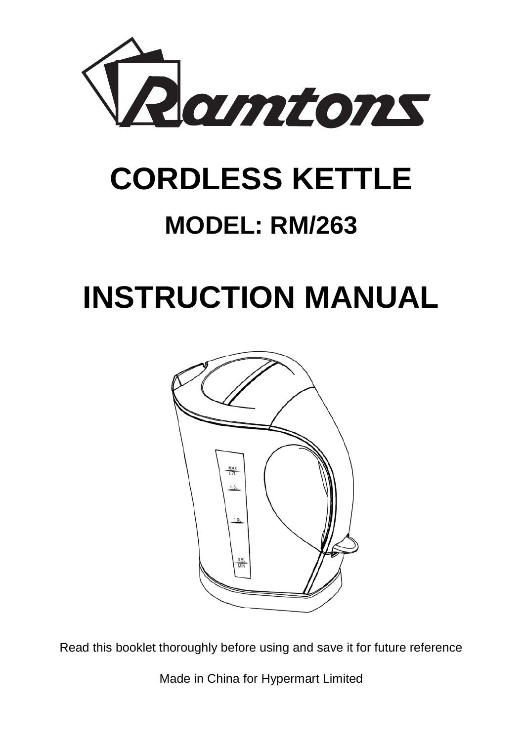

# **CORDLESS KETTLE**

# **MODEL: RM/263**

# **INSTRUCTION MANUAL**



Read this booklet thoroughly before using and save it for future reference

Made in China for Hypermart Limited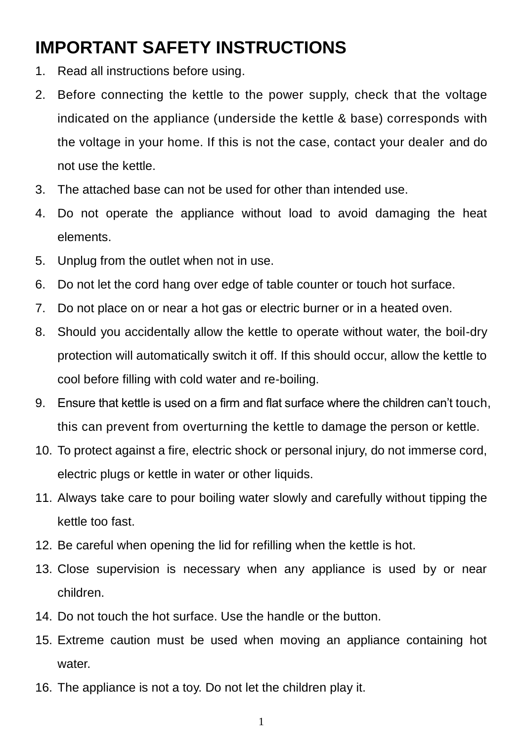### **IMPORTANT SAFETY INSTRUCTIONS**

- 1. Read all instructions before using.
- 2. Before connecting the kettle to the power supply, check that the voltage indicated on the appliance (underside the kettle & base) corresponds with the voltage in your home. If this is not the case, contact your dealer and do not use the kettle.
- 3. The attached base can not be used for other than intended use.
- 4. Do not operate the appliance without load to avoid damaging the heat elements.
- 5. Unplug from the outlet when not in use.
- 6. Do not let the cord hang over edge of table counter or touch hot surface.
- 7. Do not place on or near a hot gas or electric burner or in a heated oven.
- 8. Should you accidentally allow the kettle to operate without water, the boil-dry protection will automatically switch it off. If this should occur, allow the kettle to cool before filling with cold water and re-boiling.
- 9. Ensure that kettle is used on a firm and flat surface where the children can't touch, this can prevent from overturning the kettle to damage the person or kettle.
- 10. To protect against a fire, electric shock or personal injury, do not immerse cord, electric plugs or kettle in water or other liquids.
- 11. Always take care to pour boiling water slowly and carefully without tipping the kettle too fast.
- 12. Be careful when opening the lid for refilling when the kettle is hot.
- 13. Close supervision is necessary when any appliance is used by or near children.
- 14. Do not touch the hot surface. Use the handle or the button.
- 15. Extreme caution must be used when moving an appliance containing hot water.
- 16. The appliance is not a toy. Do not let the children play it.
	- 1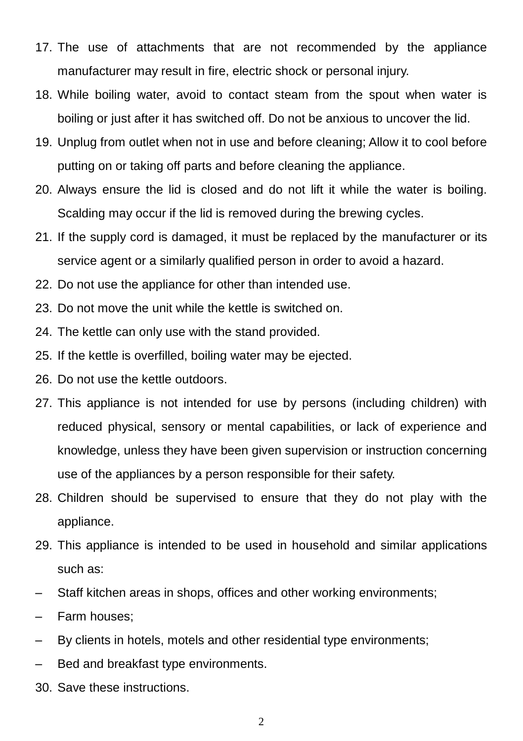- 17. The use of attachments that are not recommended by the appliance manufacturer may result in fire, electric shock or personal injury.
- 18. While boiling water, avoid to contact steam from the spout when water is boiling or just after it has switched off. Do not be anxious to uncover the lid.
- 19. Unplug from outlet when not in use and before cleaning; Allow it to cool before putting on or taking off parts and before cleaning the appliance.
- 20. Always ensure the lid is closed and do not lift it while the water is boiling. Scalding may occur if the lid is removed during the brewing cycles.
- 21. If the supply cord is damaged, it must be replaced by the manufacturer or its service agent or a similarly qualified person in order to avoid a hazard.
- 22. Do not use the appliance for other than intended use.
- 23. Do not move the unit while the kettle is switched on.
- 24. The kettle can only use with the stand provided.
- 25. If the kettle is overfilled, boiling water may be ejected.
- 26. Do not use the kettle outdoors.
- 27. This appliance is not intended for use by persons (including children) with reduced physical, sensory or mental capabilities, or lack of experience and knowledge, unless they have been given supervision or instruction concerning use of the appliances by a person responsible for their safety.
- 28. Children should be supervised to ensure that they do not play with the appliance.
- 29. This appliance is intended to be used in household and similar applications such as:
- Staff kitchen areas in shops, offices and other working environments;
- Farm houses;
- By clients in hotels, motels and other residential type environments;
- Bed and breakfast type environments.
- 30. Save these instructions.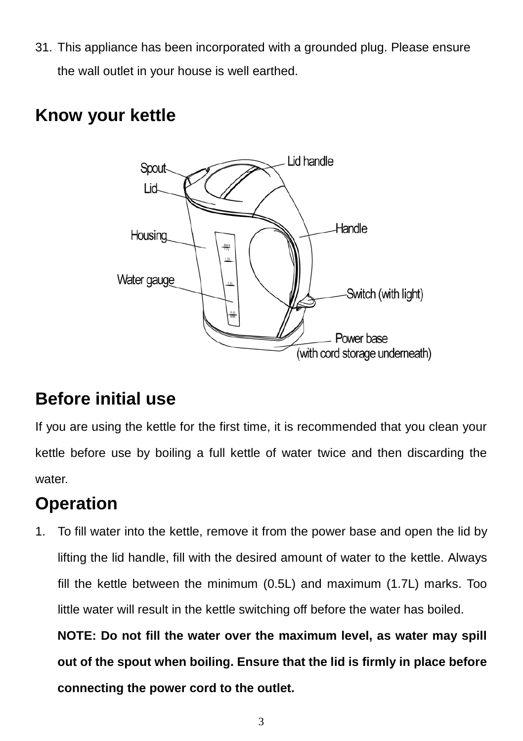31. This appliance has been incorporated with a grounded plug. Please ensure the wall outlet in your house is well earthed.

#### **Know your kettle**



### **Before initial use**

If you are using the kettle for the first time, it is recommended that you clean your kettle before use by boiling a full kettle of water twice and then discarding the water.

### **Operation**

1. To fill water into the kettle, remove it from the power base and open the lid by lifting the lid handle, fill with the desired amount of water to the kettle. Always fill the kettle between the minimum (0.5L) and maximum (1.7L) marks. Too little water will result in the kettle switching off before the water has boiled.

**NOTE: Do not fill the water over the maximum level, as water may spill out of the spout when boiling. Ensure that the lid is firmly in place before connecting the power cord to the outlet.**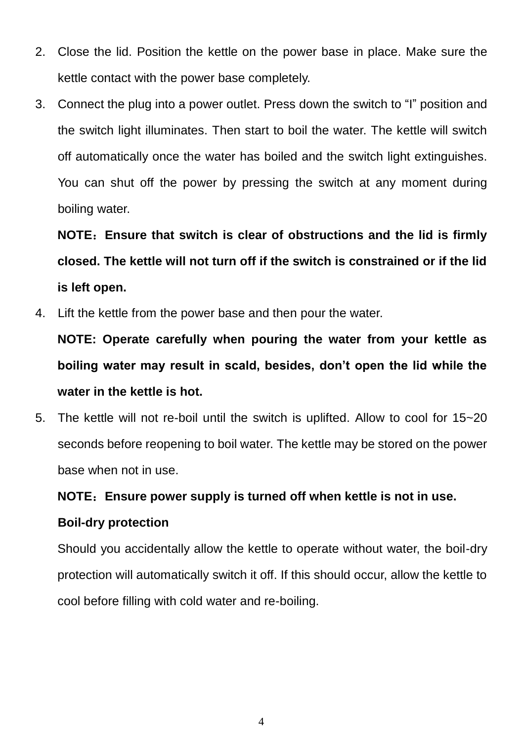- 2. Close the lid. Position the kettle on the power base in place. Make sure the kettle contact with the power base completely.
- 3. Connect the plug into a power outlet. Press down the switch to "I" position and the switch light illuminates. Then start to boil the water. The kettle will switch off automatically once the water has boiled and the switch light extinguishes. You can shut off the power by pressing the switch at any moment during boiling water.

**NOTE**:**Ensure that switch is clear of obstructions and the lid is firmly closed. The kettle will not turn off if the switch is constrained or if the lid is left open.**

4. Lift the kettle from the power base and then pour the water.

**NOTE: Operate carefully when pouring the water from your kettle as boiling water may result in scald, besides, don't open the lid while the water in the kettle is hot.**

5. The kettle will not re-boil until the switch is uplifted. Allow to cool for 15~20 seconds before reopening to boil water. The kettle may be stored on the power base when not in use.

#### **NOTE**:**Ensure power supply is turned off when kettle is not in use.**

#### **Boil-dry protection**

Should you accidentally allow the kettle to operate without water, the boil-dry protection will automatically switch it off. If this should occur, allow the kettle to cool before filling with cold water and re-boiling.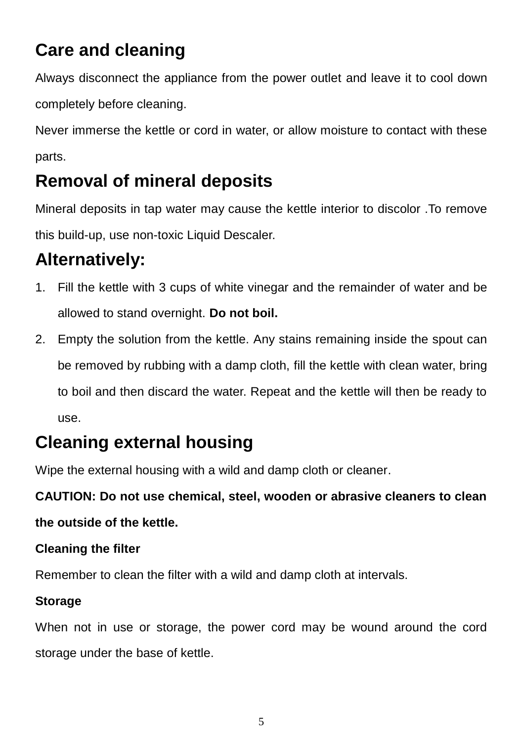## **Care and cleaning**

Always disconnect the appliance from the power outlet and leave it to cool down completely before cleaning.

Never immerse the kettle or cord in water, or allow moisture to contact with these parts.

### **Removal of mineral deposits**

Mineral deposits in tap water may cause the kettle interior to discolor .To remove this build-up, use non-toxic Liquid Descaler.

### **Alternatively:**

- 1. Fill the kettle with 3 cups of white vinegar and the remainder of water and be allowed to stand overnight. **Do not boil.**
- 2. Empty the solution from the kettle. Any stains remaining inside the spout can be removed by rubbing with a damp cloth, fill the kettle with clean water, bring to boil and then discard the water. Repeat and the kettle will then be ready to use.

### **Cleaning external housing**

Wipe the external housing with a wild and damp cloth or cleaner.

# **CAUTION: Do not use chemical, steel, wooden or abrasive cleaners to clean**

#### **the outside of the kettle.**

#### **Cleaning the filter**

Remember to clean the filter with a wild and damp cloth at intervals.

#### **Storage**

When not in use or storage, the power cord may be wound around the cord storage under the base of kettle.